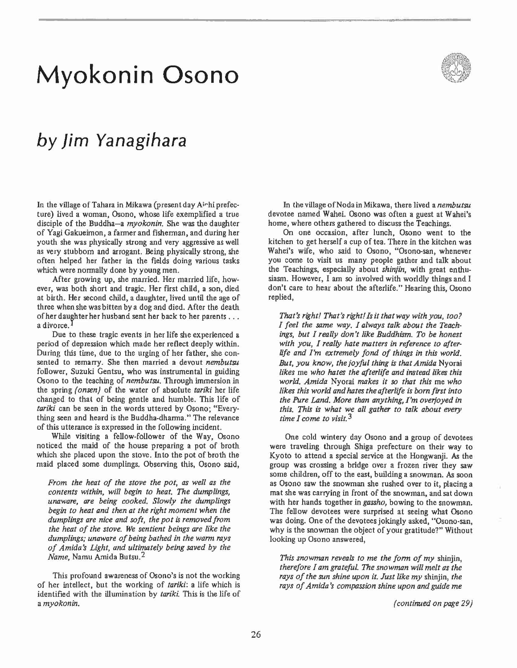# **Myokonin Osono**



## *by* **Jim Yanagihara**

In the village of Tahara in Mikawa (present day Aichi prefecture) lived a woman, Osono, whose life exemplified a true disciple of the Buddha-a *myokonin*. She was the daughter of Yagi Gakueimon, a farmer and fisherman, and during her youth she was physically strong and very aggressive as well as very stubborn and arrogant. Being physically strong, she often helped her father in the fields doing various tasks which were normally done by young men.

After growing up, she married. Her married life, however, was both short and tragic. Her first child, a son, died at birth. Her second child, a daughter, lived until the age of three when she was bitten by a dog and died. After the death of her daughter her husband sent her back to her parents . . . **a divorce.** 

Due to these tragic events in her life she experienced a period of depression which made her reflect deeply within. During this time, due to the urging of her father, she consented to remarry. She then married a devout *nembutsu*  follower, Suzuki Gentsu, who was instrumental in guiding Osono to the teaching of *nembutsu.* Through immersion in the spring *(onsen)* of the water of absolute *tariki* her life changed to that of being gentle and humble. This life of *tariki* **can be seen in the words uttered by Osono; "Every\_**  thing seen and heard is the Buddha-dharma." The relevance of this utterance is expressed in the following incident.

While visiting a fellow-follower of the Way, Osono noticed the maid of the house preparing a pot of broth which she placed upon the stove. Into the pot of broth the maid placed some dumplings. Observing this, Osono said,

*From the heat of the stove the pot, as well as the contents within, will begin to heat.* The *dumplings, unaware, are being cooked. Slowly the dumplings begin to heat and then at the right moment when the dumplings are nice and soft, the pot is removed from the heat of the stove. We sentient beings are like the dumplings; unaware of being bathed in the warm rays*  of Amida's Light, and ultimately being saved by the *Name,* Namu Amida Butsu.2

This profound awareness of Osono's is not the working of her intellect, but the working of *tariki:* a life which is identified with the illumination by *tariki.* This is the life of a *myokonin.* 

In the village of Noda in Mikawa, there lived a *nembutsu* devotee named Wahei. Osono was often a guest at Wahei's home, where others gathered to discuss the Teachings.

**On one occasion, after lunch, Osono went to the**  kitchen to get herself a cup of tea. There in the kitchen was **Wahei's wife, who said to Osono, "Osono-san, whenever**  you come to visit us many people gather and talk about the Teachings, especially about *shinjin,* with great enthusiasm. However, I am so involved with worldly things and I don't care to hear about the afterlife." Hearing this, Osono replied,

That's right! That's right! Is it that way with you, too? *I feel the same way. I always talk about the Teachings, but I really don't like Buddhism. To be honest with you, I really hate ma tters* in *reference to afterlife and I'm extremely fond of things in this world. But, you know, the joyful thing is thatAmida* Nyorai *likes* me *who hates the afterlife and instead likes this world. Amida* Nyorai *makes it so that this* me *who likes this world and hates the afterlife is born first into the Pure Land. More than anything, I'm overjoyed in this.* This *is what we all gather to talk about every time I come to visit.* 3

One cold wintery day Osono and a group of devotees were traveling through Shiga prefecture on their way to Kyoto to attend a special service at the Hongwanji. As the **group was crossing a bridge over a frozen river they saw**  some children, off to the east, building a snowman. As soon **as Osono saw the snowman she rushed over to it, placing a**  mat she was carrying in front of the snowman, and sat down with her hands together in *gassho,* bowing to the snowman. The fellow devotees were surprised at seeing what Osono was doing. One of the devotees jokingly asked, "Osono-san, why is the snowman the object of your gratitude?" Without **looking up Osono answered,** 

*This snowman reveal< to me the form of my* shinjin, *therefore I am grateful.* The *snowman will melt as the rays of the sun shine upon it. Just like my* shinjin, *the rays of Amida's compassion shine upon and guide me* 

*(continued on page* 29)